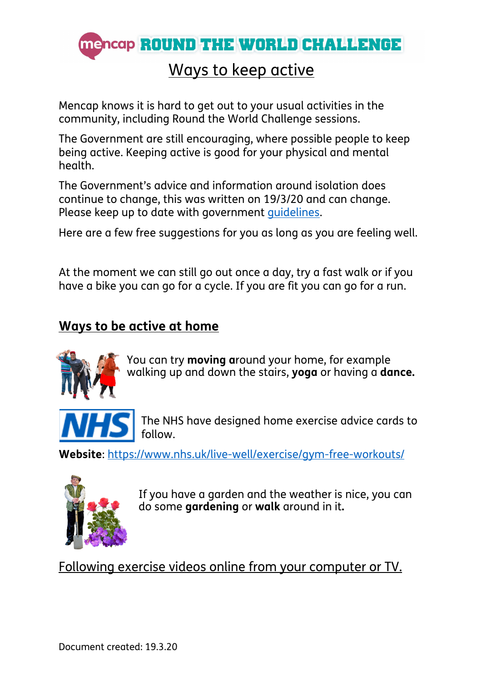

## Ways to keep active

Mencap knows it is hard to get out to your usual activities in the community, including Round the World Challenge sessions.

The Government are still encouraging, where possible people to keep being active. Keeping active is good for your physical and mental health.

The Government's advice and information around isolation does continue to change, this was written on 19/3/20 and can change. Please keep up to date with government guidelines.

Here are a few free suggestions for you as long as you are feeling well.

At the moment we can still go out once a day, try a fast walk or if you have a bike you can go for a cycle. If you are fit you can go for a run.

### **Ways to be active at home**



You can try **moving a**round your home, for example walking up and down the stairs, **yoga** or having a **dance.**



The NHS have designed home exercise advice cards to follow.

**Website**: https://www.nhs.uk/live-well/exercise/gym-free-workouts/



If you have a garden and the weather is nice, you can do some **gardening** or **walk** around in it**.**

Following exercise videos online from your computer or TV.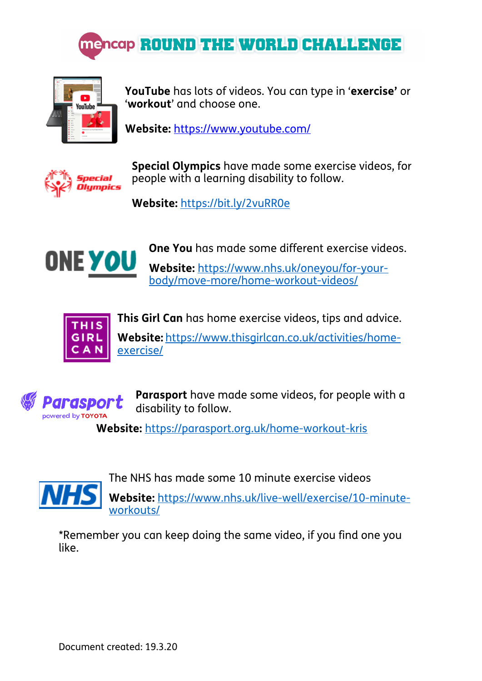



**YouTube** has lots of videos. You can type in '**exercise'** or '**workout**' and choose one.

**Website:** https://www.youtube.com/



**Special Olympics** have made some exercise videos, for people with a learning disability to follow.

**Website:** https://bit.ly/2vuRR0e



**One You** has made some different exercise videos.

**Website:** https://www.nhs.uk/oneyou/for-yourbody/move-more/home-workout-videos/



**This Girl Can** has home exercise videos, tips and advice.

**Website:** https://www.thisgirlcan.co.uk/activities/homeexercise/



**Parasport** have made some videos, for people with a disability to follow.

 **Website:** https://parasport.org.uk/home-workout-kris



The NHS has made some 10 minute exercise videos

**Website:** https://www.nhs.uk/live-well/exercise/10-minuteworkouts/

\*Remember you can keep doing the same video, if you find one you like.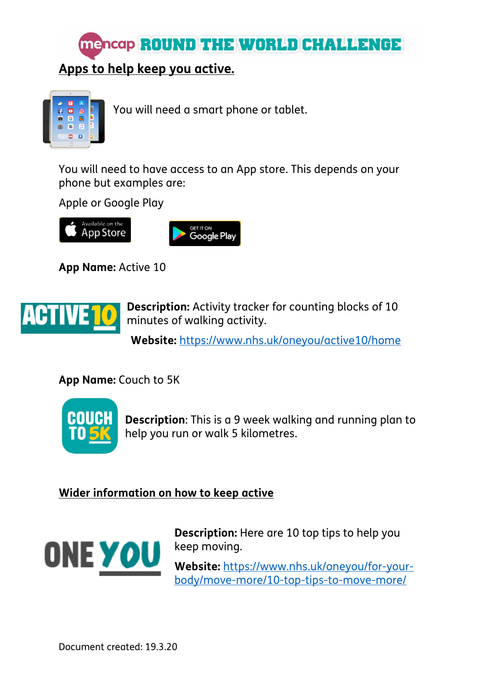



You will need a smart phone or tablet.

You will need to have access to an App store. This depends on your phone but examples are:

Apple or Google Play





**App Name:** Active 10



**Description:** Activity tracker for counting blocks of 10 minutes of walking activity.

 **Website:** https://www.nhs.uk/oneyou/active10/home

**App Name:** Couch to 5K



**Description**: This is a 9 week walking and running plan to help you run or walk 5 kilometres.

#### **Wider information on how to keep active**



**Description:** Here are 10 top tips to help you keep moving.

**Website:** https://www.nhs.uk/oneyou/for-yourbody/move-more/10-top-tips-to-move-more/